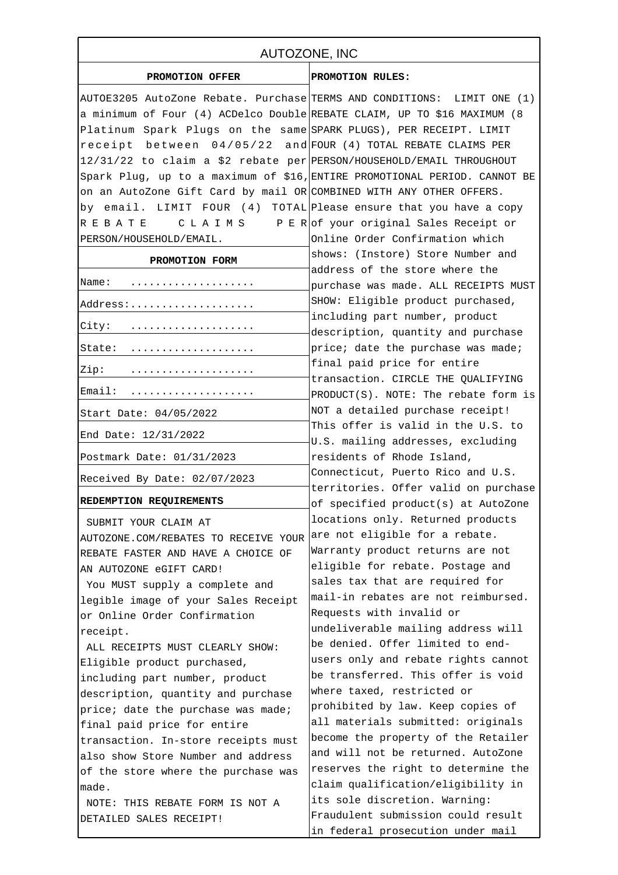| AUTOZONE, INC                                                             |                                                                               |
|---------------------------------------------------------------------------|-------------------------------------------------------------------------------|
| PROMOTION OFFER                                                           | PROMOTION RULES:                                                              |
| AUTOE3205 AutoZone Rebate. Purchase TERMS AND CONDITIONS: LIMIT ONE (1)   |                                                                               |
| a minimum of Four (4) ACDelco Double REBATE CLAIM, UP TO \$16 MAXIMUM (8) |                                                                               |
| Platinum Spark Plugs on the same SPARK PLUGS), PER RECEIPT. LIMIT         |                                                                               |
| receipt between $04/05/22$ and FOUR (4) TOTAL REBATE CLAIMS PER           |                                                                               |
| 12/31/22 to claim a \$2 rebate per PERSON/HOUSEHOLD/EMAIL THROUGHOUT      |                                                                               |
| Spark Plug, up to a maximum of \$16, ENTIRE PROMOTIONAL PERIOD. CANNOT BE |                                                                               |
| on an AutoZone Gift Card by mail OR COMBINED WITH ANY OTHER OFFERS.       |                                                                               |
| by email. LIMIT FOUR (4) TOTAL Please ensure that you have a copy         |                                                                               |
| REBATE                                                                    | C L A I M S P E R of your original Sales Receipt or                           |
| PERSON/HOUSEHOLD/EMAIL.                                                   | Online Order Confirmation which                                               |
| PROMOTION FORM                                                            | shows: (Instore) Store Number and                                             |
|                                                                           | address of the store where the                                                |
| Name:<br>.                                                                | purchase was made. ALL RECEIPTS MUST                                          |
| Address:                                                                  | SHOW: Eligible product purchased,                                             |
|                                                                           | including part number, product                                                |
| City:                                                                     | description, quantity and purchase                                            |
| State:                                                                    | price; date the purchase was made;                                            |
| Zip:                                                                      | final paid price for entire                                                   |
| Email:                                                                    | transaction. CIRCLE THE QUALIFYING<br>$PRODUCT(S)$ . NOTE: The rebate form is |
| Start Date: 04/05/2022                                                    | NOT a detailed purchase receipt!                                              |
|                                                                           | This offer is valid in the U.S. to                                            |
| End Date: 12/31/2022                                                      | U.S. mailing addresses, excluding                                             |
| Postmark Date: 01/31/2023                                                 | residents of Rhode Island,                                                    |
| Received By Date: 02/07/2023                                              | Connecticut, Puerto Rico and U.S.                                             |
|                                                                           | territories. Offer valid on purchase                                          |
| REDEMPTION REQUIREMENTS                                                   | of specified product(s) at AutoZone                                           |
| SUBMIT YOUR CLAIM AT                                                      | locations only. Returned products                                             |
| AUTOZONE.COM/REBATES TO RECEIVE YOUR                                      | are not eligible for a rebate.                                                |
| REBATE FASTER AND HAVE A CHOICE OF                                        | Warranty product returns are not                                              |
| AN AUTOZONE eGIFT CARD!                                                   | eligible for rebate. Postage and                                              |
| You MUST supply a complete and                                            | sales tax that are required for                                               |
| legible image of your Sales Receipt                                       | mail-in rebates are not reimbursed.                                           |
| or Online Order Confirmation                                              | Requests with invalid or                                                      |
| receipt.                                                                  | undeliverable mailing address will                                            |
| ALL RECEIPTS MUST CLEARLY SHOW:                                           | be denied. Offer limited to end-                                              |
| Eligible product purchased,                                               | users only and rebate rights cannot                                           |
| including part number, product                                            | be transferred. This offer is void                                            |
| description, quantity and purchase                                        | where taxed, restricted or                                                    |
| price; date the purchase was made;                                        | prohibited by law. Keep copies of                                             |
| final paid price for entire                                               | all materials submitted: originals                                            |
| transaction. In-store receipts must                                       | become the property of the Retailer                                           |
| also show Store Number and address                                        | and will not be returned. AutoZone                                            |
| of the store where the purchase was                                       | reserves the right to determine the                                           |
| made.                                                                     | claim qualification/eligibility in                                            |
| NOTE: THIS REBATE FORM IS NOT A                                           | its sole discretion. Warning:                                                 |
| DETAILED SALES RECEIPT!                                                   | Fraudulent submission could result                                            |
|                                                                           | in federal prosecution under mail                                             |